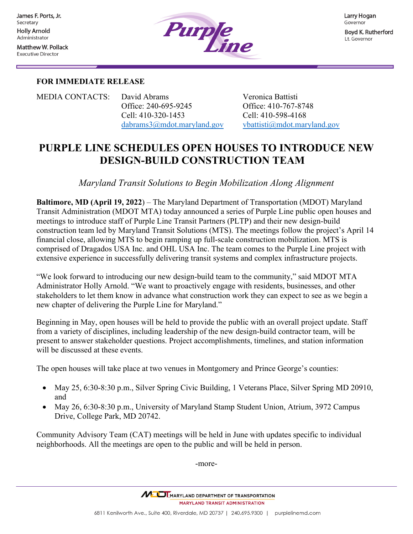**Matthew W. Pollack Executive Director** 



## **FOR IMMEDIATE RELEASE**

MEDIA CONTACTS:  David Abrams                             Veronica Battisti   Office: 240-695-9245            Office: 410-767-8748 Cell: 410-320-1453                          Cell: 410-598-4168                                       [dabrams3@mdot.maryland.gov](mailto:dabrams3@mdot.maryland.gov) [vbattisti@mdot.maryland.gov](mailto:vbattisti@mdot.maryland.gov)

# **PURPLE LINE SCHEDULES OPEN HOUSES TO INTRODUCE NEW DESIGN-BUILD CONSTRUCTION TEAM**

*Maryland Transit Solutions to Begin Mobilization Along Alignment*

**Baltimore, MD (April 19, 2022**) – The Maryland Department of Transportation (MDOT) Maryland Transit Administration (MDOT MTA) today announced a series of Purple Line public open houses and meetings to introduce staff of Purple Line Transit Partners (PLTP) and their new design-build construction team led by Maryland Transit Solutions (MTS). The meetings follow the project's April 14 financial close, allowing MTS to begin ramping up full-scale construction mobilization. MTS is comprised of Dragados USA Inc. and OHL USA Inc. The team comes to the Purple Line project with extensive experience in successfully delivering transit systems and complex infrastructure projects.

"We look forward to introducing our new design-build team to the community," said MDOT MTA Administrator Holly Arnold. "We want to proactively engage with residents, businesses, and other stakeholders to let them know in advance what construction work they can expect to see as we begin a new chapter of delivering the Purple Line for Maryland."

Beginning in May, open houses will be held to provide the public with an overall project update. Staff from a variety of disciplines, including leadership of the new design-build contractor team, will be present to answer stakeholder questions. Project accomplishments, timelines, and station information will be discussed at these events.

The open houses will take place at two venues in Montgomery and Prince George's counties:

- May 25, 6:30-8:30 p.m., Silver Spring Civic Building, 1 Veterans Place, Silver Spring MD 20910, and
- May 26, 6:30-8:30 p.m., University of Maryland Stamp Student Union, Atrium, 3972 Campus Drive, College Park, MD 20742.

Community Advisory Team (CAT) meetings will be held in June with updates specific to individual neighborhoods. All the meetings are open to the public and will be held in person.

-more-

MULLMARYLAND DEPARTMENT OF TRANSPORTATION **MARYLAND TRANSIT ADMINISTRATION**